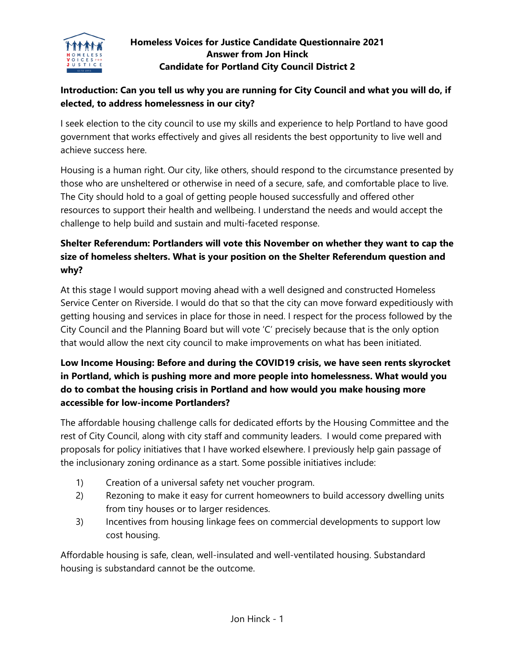

#### **Homeless Voices for Justice Candidate Questionnaire 2021 Answer from Jon Hinck Candidate for Portland City Council District 2**

#### **Introduction: Can you tell us why you are running for City Council and what you will do, if elected, to address homelessness in our city?**

I seek election to the city council to use my skills and experience to help Portland to have good government that works effectively and gives all residents the best opportunity to live well and achieve success here.

Housing is a human right. Our city, like others, should respond to the circumstance presented by those who are unsheltered or otherwise in need of a secure, safe, and comfortable place to live. The City should hold to a goal of getting people housed successfully and offered other resources to support their health and wellbeing. I understand the needs and would accept the challenge to help build and sustain and multi-faceted response.

# **Shelter Referendum: Portlanders will vote this November on whether they want to cap the size of homeless shelters. What is your position on the Shelter Referendum question and why?**

At this stage I would support moving ahead with a well designed and constructed Homeless Service Center on Riverside. I would do that so that the city can move forward expeditiously with getting housing and services in place for those in need. I respect for the process followed by the City Council and the Planning Board but will vote 'C' precisely because that is the only option that would allow the next city council to make improvements on what has been initiated.

# **Low Income Housing: Before and during the COVID19 crisis, we have seen rents skyrocket in Portland, which is pushing more and more people into homelessness. What would you do to combat the housing crisis in Portland and how would you make housing more accessible for low-income Portlanders?**

The affordable housing challenge calls for dedicated efforts by the Housing Committee and the rest of City Council, along with city staff and community leaders. I would come prepared with proposals for policy initiatives that I have worked elsewhere. I previously help gain passage of the inclusionary zoning ordinance as a start. Some possible initiatives include:

- 1) Creation of a universal safety net voucher program.
- 2) Rezoning to make it easy for current homeowners to build accessory dwelling units from tiny houses or to larger residences.
- 3) Incentives from housing linkage fees on commercial developments to support low cost housing.

Affordable housing is safe, clean, well-insulated and well-ventilated housing. Substandard housing is substandard cannot be the outcome.